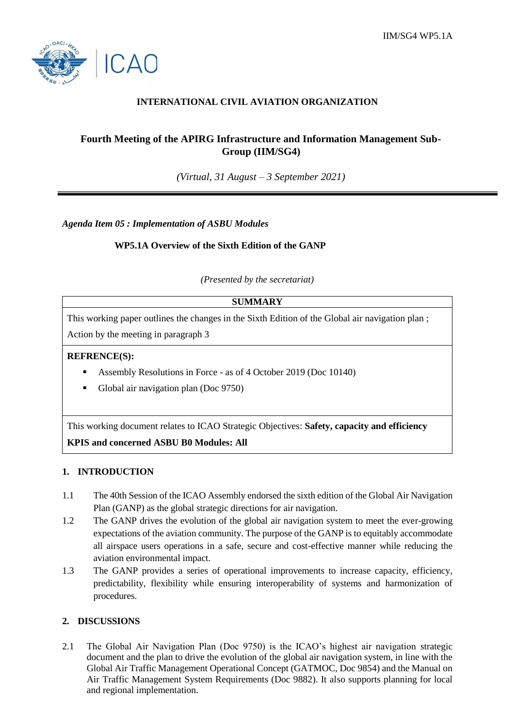

## **INTERNATIONAL CIVIL AVIATION ORGANIZATION**

# **Fourth Meeting of the APIRG Infrastructure and Information Management Sub-Group (IIM/SG4)**

*(Virtual, 31 August – 3 September 2021)*

*Agenda Item 05 : Implementation of ASBU Modules*

### **WP5.1A Overview of the Sixth Edition of the GANP**

*(Presented by the secretariat)*

# **SUMMARY**

This working paper outlines the changes in the Sixth Edition of the Global air navigation plan ;

Action by the meeting in paragraph 3

#### **REFRENCE(S):**

- Assembly Resolutions in Force as of 4 October 2019 (Doc 10140)
- Global air navigation plan (Doc 9750)

This working document relates to ICAO Strategic Objectives: **Safety, capacity and efficiency KPIS and concerned ASBU B0 Modules: All**

#### **1. INTRODUCTION**

- 1.1 The 40th Session of the ICAO Assembly endorsed the sixth edition of the Global Air Navigation Plan (GANP) as the global strategic directions for air navigation.
- 1.2 The GANP drives the evolution of the global air navigation system to meet the ever-growing expectations of the aviation community. The purpose of the GANP is to equitably accommodate all airspace users operations in a safe, secure and cost-effective manner while reducing the aviation environmental impact.
- 1.3 The GANP provides a series of operational improvements to increase capacity, efficiency, predictability, flexibility while ensuring interoperability of systems and harmonization of procedures.

#### **2. DISCUSSIONS**

2.1 The Global Air Navigation Plan (Doc 9750) is the ICAO's highest air navigation strategic document and the plan to drive the evolution of the global air navigation system, in line with the Global Air Traffic Management Operational Concept (GATMOC, Doc 9854) and the Manual on Air Traffic Management System Requirements (Doc 9882). It also supports planning for local and regional implementation.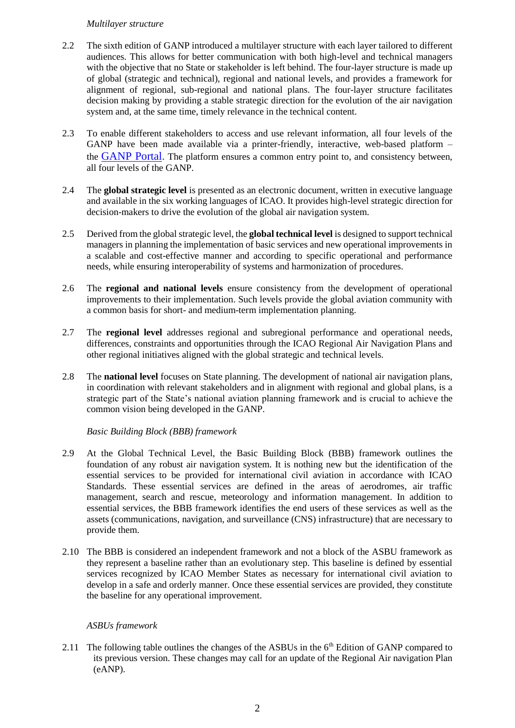#### *Multilayer structure*

- 2.2 The sixth edition of GANP introduced a multilayer structure with each layer tailored to different audiences. This allows for better communication with both high-level and technical managers with the objective that no State or stakeholder is left behind. The four-layer structure is made up of global (strategic and technical), regional and national levels, and provides a framework for alignment of regional, sub-regional and national plans. The four-layer structure facilitates decision making by providing a stable strategic direction for the evolution of the air navigation system and, at the same time, timely relevance in the technical content.
- 2.3 To enable different stakeholders to access and use relevant information, all four levels of the GANP have been made available via a printer-friendly, interactive, web-based platform – the [GANP](https://www4.icao.int/ganpportal) Portal. The platform ensures a common entry point to, and consistency between, all four levels of the GANP.
- 2.4 The **global strategic level** is presented as an electronic document, written in executive language and available in the six working languages of ICAO. It provides high-level strategic direction for decision-makers to drive the evolution of the global air navigation system.
- 2.5 Derived from the global strategic level, the **global technical level** is designed to support technical managers in planning the implementation of basic services and new operational improvements in a scalable and cost-effective manner and according to specific operational and performance needs, while ensuring interoperability of systems and harmonization of procedures.
- 2.6 The **regional and national levels** ensure consistency from the development of operational improvements to their implementation. Such levels provide the global aviation community with a common basis for short- and medium-term implementation planning.
- 2.7 The **regional level** addresses regional and subregional performance and operational needs, differences, constraints and opportunities through the ICAO Regional Air Navigation Plans and other regional initiatives aligned with the global strategic and technical levels.
- 2.8 The **national level** focuses on State planning. The development of national air navigation plans, in coordination with relevant stakeholders and in alignment with regional and global plans, is a strategic part of the State's national aviation planning framework and is crucial to achieve the common vision being developed in the GANP.

## *Basic Building Block (BBB) framework*

- 2.9 At the Global Technical Level, the Basic Building Block (BBB) framework outlines the foundation of any robust air navigation system. It is nothing new but the identification of the essential services to be provided for international civil aviation in accordance with ICAO Standards. These essential services are defined in the areas of aerodromes, air traffic management, search and rescue, meteorology and information management. In addition to essential services, the BBB framework identifies the end users of these services as well as the assets (communications, navigation, and surveillance (CNS) infrastructure) that are necessary to provide them.
- 2.10 The BBB is considered an independent framework and not a block of the ASBU framework as they represent a baseline rather than an evolutionary step. This baseline is defined by essential services recognized by ICAO Member States as necessary for international civil aviation to develop in a safe and orderly manner. Once these essential services are provided, they constitute the baseline for any operational improvement.

## *ASBUs framework*

2.11 The following table outlines the changes of the ASBUs in the  $6<sup>th</sup>$  Edition of GANP compared to its previous version. These changes may call for an update of the Regional Air navigation Plan (eANP).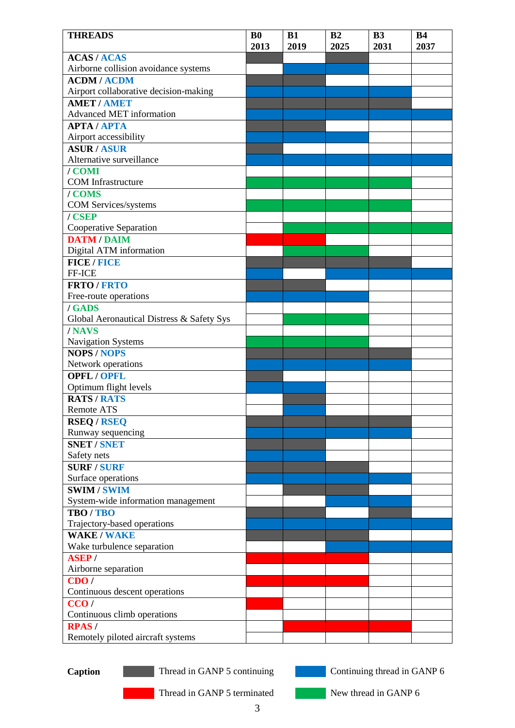| <b>THREADS</b>                            | B <sub>0</sub><br>2013 | B1<br>2019 | B <sub>2</sub><br>2025 | B <sub>3</sub><br>2031 | <b>B4</b><br>2037 |
|-------------------------------------------|------------------------|------------|------------------------|------------------------|-------------------|
| <b>ACAS/ACAS</b>                          |                        |            |                        |                        |                   |
| Airborne collision avoidance systems      |                        |            |                        |                        |                   |
| <b>ACDM/ACDM</b>                          |                        |            |                        |                        |                   |
| Airport collaborative decision-making     |                        |            |                        |                        |                   |
| <b>AMET / AMET</b>                        |                        |            |                        |                        |                   |
| Advanced MET information                  |                        |            |                        |                        |                   |
| <b>APTA/APTA</b>                          |                        |            |                        |                        |                   |
| Airport accessibility                     |                        |            |                        |                        |                   |
| <b>ASUR/ASUR</b>                          |                        |            |                        |                        |                   |
| Alternative surveillance                  |                        |            |                        |                        |                   |
| / COMI                                    |                        |            |                        |                        |                   |
| <b>COM</b> Infrastructure                 |                        |            |                        |                        |                   |
| / COMS                                    |                        |            |                        |                        |                   |
| <b>COM Services/systems</b>               |                        |            |                        |                        |                   |
| / CSEP                                    |                        |            |                        |                        |                   |
| Cooperative Separation                    |                        |            |                        |                        |                   |
| <b>DATM / DAIM</b>                        |                        |            |                        |                        |                   |
| Digital ATM information                   |                        |            |                        |                        |                   |
| <b>FICE/FICE</b>                          |                        |            |                        |                        |                   |
| FF-ICE                                    |                        |            |                        |                        |                   |
| <b>FRTO/FRTO</b>                          |                        |            |                        |                        |                   |
| Free-route operations                     |                        |            |                        |                        |                   |
| / GADS                                    |                        |            |                        |                        |                   |
| Global Aeronautical Distress & Safety Sys |                        |            |                        |                        |                   |
| /NAVS                                     |                        |            |                        |                        |                   |
| Navigation Systems                        |                        |            |                        |                        |                   |
| <b>NOPS/NOPS</b>                          |                        |            |                        |                        |                   |
| Network operations                        |                        |            |                        |                        |                   |
| <b>OPFL / OPFL</b>                        |                        |            |                        |                        |                   |
| Optimum flight levels                     |                        |            |                        |                        |                   |
| <b>RATS/RATS</b>                          |                        |            |                        |                        |                   |
| <b>Remote ATS</b>                         |                        |            |                        |                        |                   |
| <b>RSEQ/RSEQ</b>                          |                        |            |                        |                        |                   |
| Runway sequencing                         |                        |            |                        |                        |                   |
| <b>SNET / SNET</b>                        |                        |            |                        |                        |                   |
| Safety nets                               |                        |            |                        |                        |                   |
| <b>SURF / SURF</b>                        |                        |            |                        |                        |                   |
| Surface operations                        |                        |            |                        |                        |                   |
| <b>SWIM/SWIM</b>                          |                        |            |                        |                        |                   |
| System-wide information management        |                        |            |                        |                        |                   |
| TBO/TBO                                   |                        |            |                        |                        |                   |
| Trajectory-based operations               |                        |            |                        |                        |                   |
| <b>WAKE / WAKE</b>                        |                        |            |                        |                        |                   |
| Wake turbulence separation                |                        |            |                        |                        |                   |
| <b>ASEP/</b>                              |                        |            |                        |                        |                   |
| Airborne separation                       |                        |            |                        |                        |                   |
| CDO/                                      |                        |            |                        |                        |                   |
| Continuous descent operations             |                        |            |                        |                        |                   |
| CCO/                                      |                        |            |                        |                        |                   |
| Continuous climb operations               |                        |            |                        |                        |                   |
| <b>RPAS/</b>                              |                        |            |                        |                        |                   |
| Remotely piloted aircraft systems         |                        |            |                        |                        |                   |
|                                           |                        |            |                        |                        |                   |

**Caption** Thread in GANP 5 continuing Continuing thread in GANP 6

Thread in GANP 5 terminated New thread in GANP 6